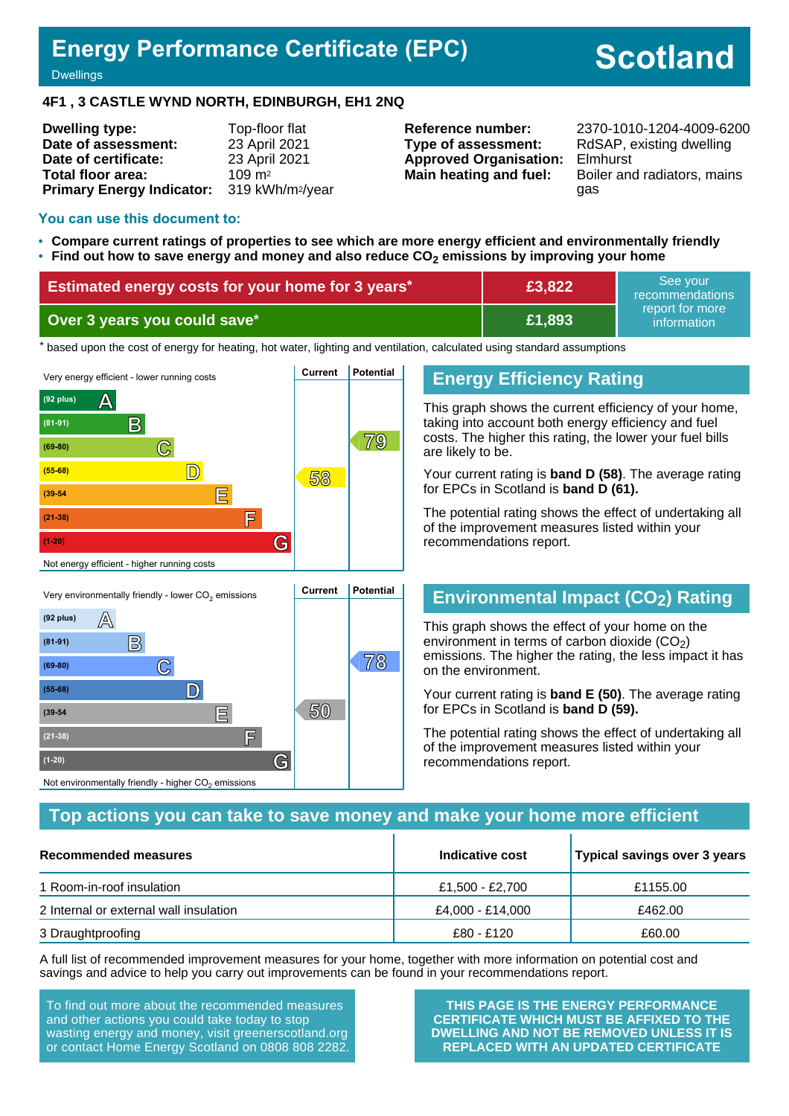## **Energy Performance Certificate (EPC)**

# **Scotland**

**Dwellings** 

#### **4F1 , 3 CASTLE WYND NORTH, EDINBURGH, EH1 2NQ**

| <b>Dwelling type:</b>            | Top-floor flat               |
|----------------------------------|------------------------------|
| Date of assessment:              | 23 April 2021                |
| Date of certificate:             | 23 April 2021                |
| Total floor area:                | $109 \text{ m}^2$            |
| <b>Primary Energy Indicator:</b> | 319 kWh/m <sup>2</sup> /year |

**Type of assessment:** RdSAP, existing dwelling **Approved Organisation:** Elmhurst

**Reference number:** 2370-1010-1204-4009-6200 **Main heating and fuel:** Boiler and radiators, mains gas

#### **You can use this document to:**

- **Compare current ratings of properties to see which are more energy efficient and environmentally friendly**
- **Find out how to save energy and money and also reduce CO2 emissions by improving your home**

| Estimated energy costs for your home for 3 years* | £3,822 | See vour<br>recommendations                                           |
|---------------------------------------------------|--------|-----------------------------------------------------------------------|
| Over 3 years you could save*                      | £1,893 | report for more<br>$\,$ information $^{\scriptscriptstyle\mathsf{h}}$ |

the based upon the cost of energy for heating, hot water, lighting and ventilation, calculated using standard assumptions



## **Energy Efficiency Rating**

This graph shows the current efficiency of your home, taking into account both energy efficiency and fuel costs. The higher this rating, the lower your fuel bills are likely to be.

Your current rating is **band D (58)**. The average rating for EPCs in Scotland is **band D (61).**

The potential rating shows the effect of undertaking all of the improvement measures listed within your recommendations report.

## **Environmental Impact (CO2) Rating**

This graph shows the effect of your home on the environment in terms of carbon dioxide  $(CO<sub>2</sub>)$ emissions. The higher the rating, the less impact it has on the environment.

Your current rating is **band E (50)**. The average rating for EPCs in Scotland is **band D (59).**

The potential rating shows the effect of undertaking all of the improvement measures listed within your recommendations report.

## **Top actions you can take to save money and make your home more efficient**

| Recommended measures                   | Indicative cost  | Typical savings over 3 years |
|----------------------------------------|------------------|------------------------------|
| 1 Room-in-roof insulation              | £1,500 - £2,700  | £1155.00                     |
| 2 Internal or external wall insulation | £4,000 - £14,000 | £462.00                      |
| 3 Draughtproofing                      | £80 - £120       | £60.00                       |

A full list of recommended improvement measures for your home, together with more information on potential cost and savings and advice to help you carry out improvements can be found in your recommendations report.

To find out more about the recommended measures and other actions you could take today to stop wasting energy and money, visit greenerscotland.org or contact Home Energy Scotland on 0808 808 2282.

**(1-20) G**

Not environmentally friendly - higher  $\mathrm{CO}_2$  emissions

**THIS PAGE IS THE ENERGY PERFORMANCE CERTIFICATE WHICH MUST BE AFFIXED TO THE DWELLING AND NOT BE REMOVED UNLESS IT IS REPLACED WITH AN UPDATED CERTIFICATE**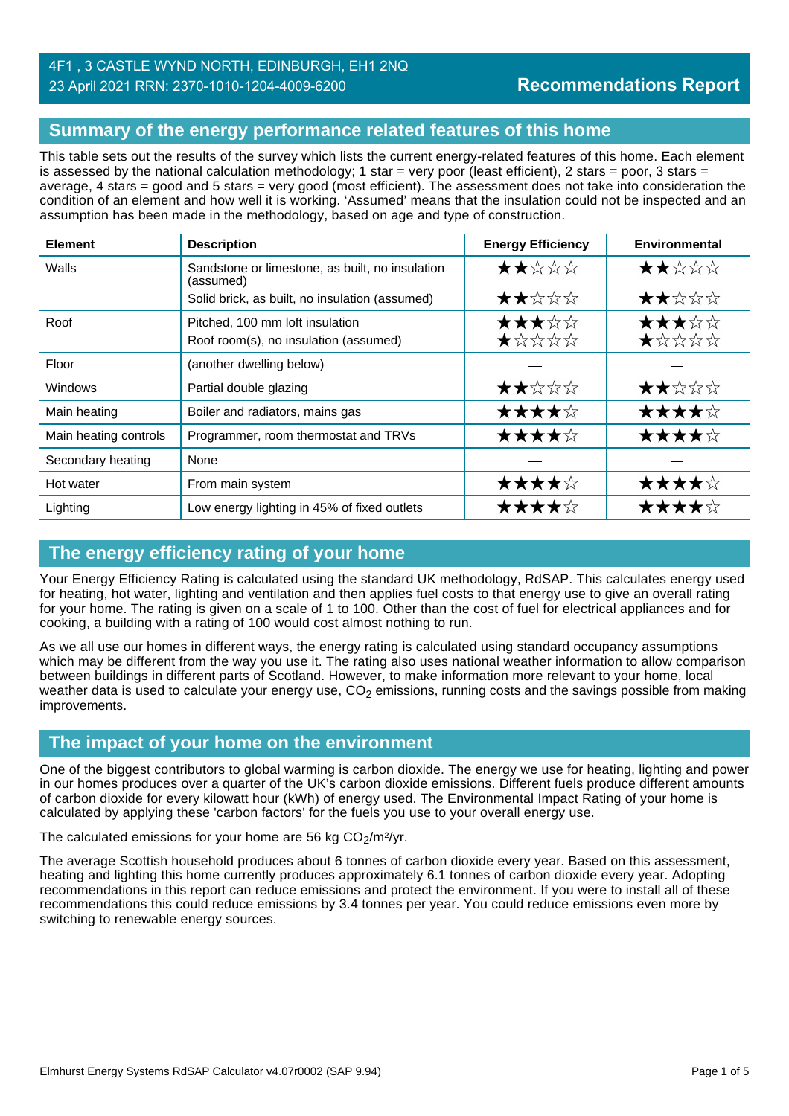## **Summary of the energy performance related features of this home**

This table sets out the results of the survey which lists the current energy-related features of this home. Each element is assessed by the national calculation methodology; 1 star = very poor (least efficient), 2 stars = poor, 3 stars = average, 4 stars = good and 5 stars = very good (most efficient). The assessment does not take into consideration the condition of an element and how well it is working. 'Assumed' means that the insulation could not be inspected and an assumption has been made in the methodology, based on age and type of construction.

| <b>Element</b>        | <b>Description</b>                                                       | <b>Energy Efficiency</b> | <b>Environmental</b> |
|-----------------------|--------------------------------------------------------------------------|--------------------------|----------------------|
| Walls                 | Sandstone or limestone, as built, no insulation<br>(assumed)             | ★★☆☆☆                    | ★★☆☆☆                |
|                       | Solid brick, as built, no insulation (assumed)                           | ★★☆☆☆                    | ★★☆☆☆                |
| Roof                  | Pitched, 100 mm loft insulation<br>Roof room(s), no insulation (assumed) | ★★★☆☆<br>★☆☆☆☆           | ★★★☆☆<br>★☆☆☆☆       |
| Floor                 | (another dwelling below)                                                 |                          |                      |
| Windows               | Partial double glazing                                                   | ★★☆☆☆                    | ★★☆☆☆                |
| Main heating          | Boiler and radiators, mains gas                                          | ★★★★☆                    | ★★★★☆                |
| Main heating controls | Programmer, room thermostat and TRVs                                     | ★★★★☆                    | ★★★★☆                |
| Secondary heating     | None                                                                     |                          |                      |
| Hot water             | From main system                                                         | ★★★★☆                    | ★★★★☆                |
| Lighting              | Low energy lighting in 45% of fixed outlets                              | ★★★★☆                    |                      |

## **The energy efficiency rating of your home**

Your Energy Efficiency Rating is calculated using the standard UK methodology, RdSAP. This calculates energy used for heating, hot water, lighting and ventilation and then applies fuel costs to that energy use to give an overall rating for your home. The rating is given on a scale of 1 to 100. Other than the cost of fuel for electrical appliances and for cooking, a building with a rating of 100 would cost almost nothing to run.

As we all use our homes in different ways, the energy rating is calculated using standard occupancy assumptions which may be different from the way you use it. The rating also uses national weather information to allow comparison between buildings in different parts of Scotland. However, to make information more relevant to your home, local weather data is used to calculate your energy use,  $CO<sub>2</sub>$  emissions, running costs and the savings possible from making improvements.

## **The impact of your home on the environment**

One of the biggest contributors to global warming is carbon dioxide. The energy we use for heating, lighting and power in our homes produces over a quarter of the UK's carbon dioxide emissions. Different fuels produce different amounts of carbon dioxide for every kilowatt hour (kWh) of energy used. The Environmental Impact Rating of your home is calculated by applying these 'carbon factors' for the fuels you use to your overall energy use.

The calculated emissions for your home are 56 kg  $CO<sub>2</sub>/m<sup>2</sup>/yr$ .

The average Scottish household produces about 6 tonnes of carbon dioxide every year. Based on this assessment, heating and lighting this home currently produces approximately 6.1 tonnes of carbon dioxide every year. Adopting recommendations in this report can reduce emissions and protect the environment. If you were to install all of these recommendations this could reduce emissions by 3.4 tonnes per year. You could reduce emissions even more by switching to renewable energy sources.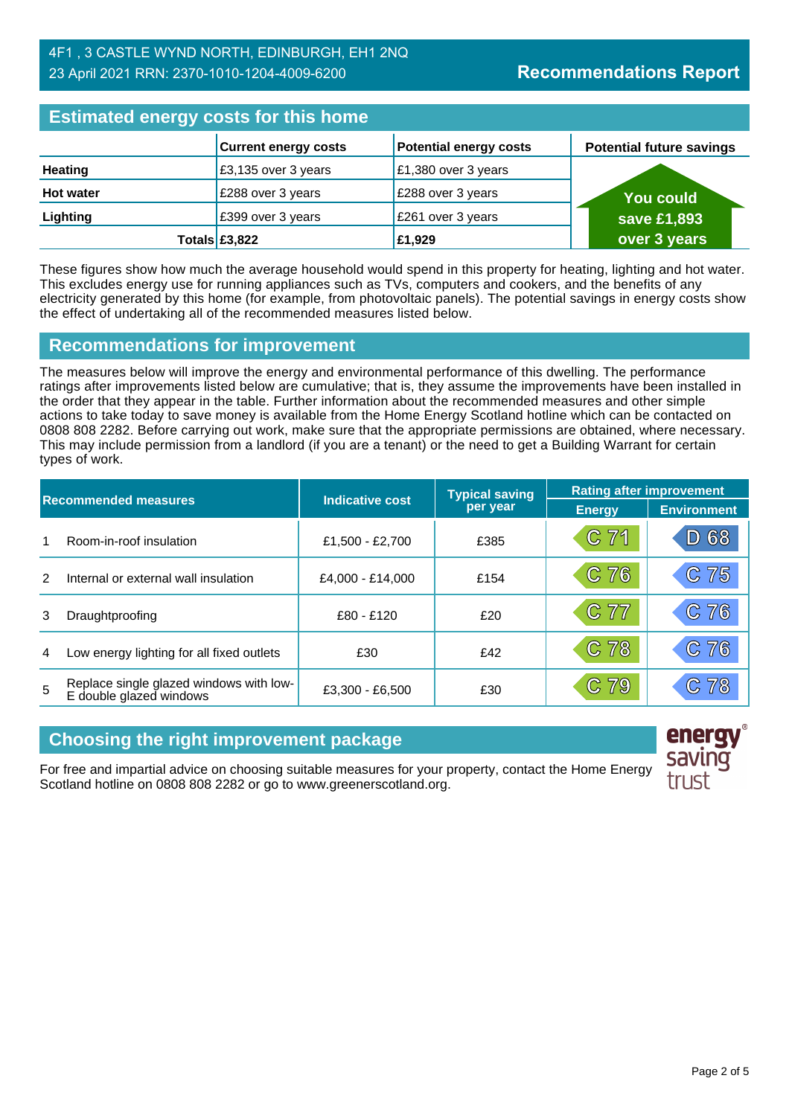| <b>Estimated energy costs for this home</b> |                             |                               |                                 |  |
|---------------------------------------------|-----------------------------|-------------------------------|---------------------------------|--|
|                                             | <b>Current energy costs</b> | <b>Potential energy costs</b> | <b>Potential future savings</b> |  |
| <b>Heating</b>                              | £3,135 over 3 years         | £1,380 over 3 years           |                                 |  |
| <b>Hot water</b>                            | £288 over 3 years           | £288 over 3 years             | <b>You could</b>                |  |
| Lighting                                    | £399 over 3 years           | £261 over 3 years             | save £1,893                     |  |
|                                             | Totals $£3,822$             | £1,929                        | over 3 years                    |  |

These figures show how much the average household would spend in this property for heating, lighting and hot water. This excludes energy use for running appliances such as TVs, computers and cookers, and the benefits of any electricity generated by this home (for example, from photovoltaic panels). The potential savings in energy costs show the effect of undertaking all of the recommended measures listed below.

## **Recommendations for improvement**

The measures below will improve the energy and environmental performance of this dwelling. The performance ratings after improvements listed below are cumulative; that is, they assume the improvements have been installed in the order that they appear in the table. Further information about the recommended measures and other simple actions to take today to save money is available from the Home Energy Scotland hotline which can be contacted on 0808 808 2282. Before carrying out work, make sure that the appropriate permissions are obtained, where necessary. This may include permission from a landlord (if you are a tenant) or the need to get a Building Warrant for certain types of work.

| <b>Recommended measures</b> |                                                                    |                  | <b>Typical saving</b> | <b>Rating after improvement</b> |                    |
|-----------------------------|--------------------------------------------------------------------|------------------|-----------------------|---------------------------------|--------------------|
|                             |                                                                    | Indicative cost  | per year              | <b>Energy</b>                   | <b>Environment</b> |
| 1                           | Room-in-roof insulation                                            | £1,500 - £2,700  | £385                  | C 71                            | D 68               |
| $\mathcal{P}$               | Internal or external wall insulation                               | £4,000 - £14,000 | £154                  | C76                             | 75<br>$\mathbb{C}$ |
| 3                           | Draughtproofing                                                    | £80 - £120       | £20                   | C 77                            | C76                |
| 4                           | Low energy lighting for all fixed outlets                          | £30              | £42                   | C 78                            | C76                |
| 5                           | Replace single glazed windows with low-<br>E double glazed windows | £3,300 - £6,500  | £30                   | C79                             | 78                 |

## **Choosing the right improvement package**

For free and impartial advice on choosing suitable measures for your property, contact the Home Energy Scotland hotline on 0808 808 2282 or go to www.greenerscotland.org.

energy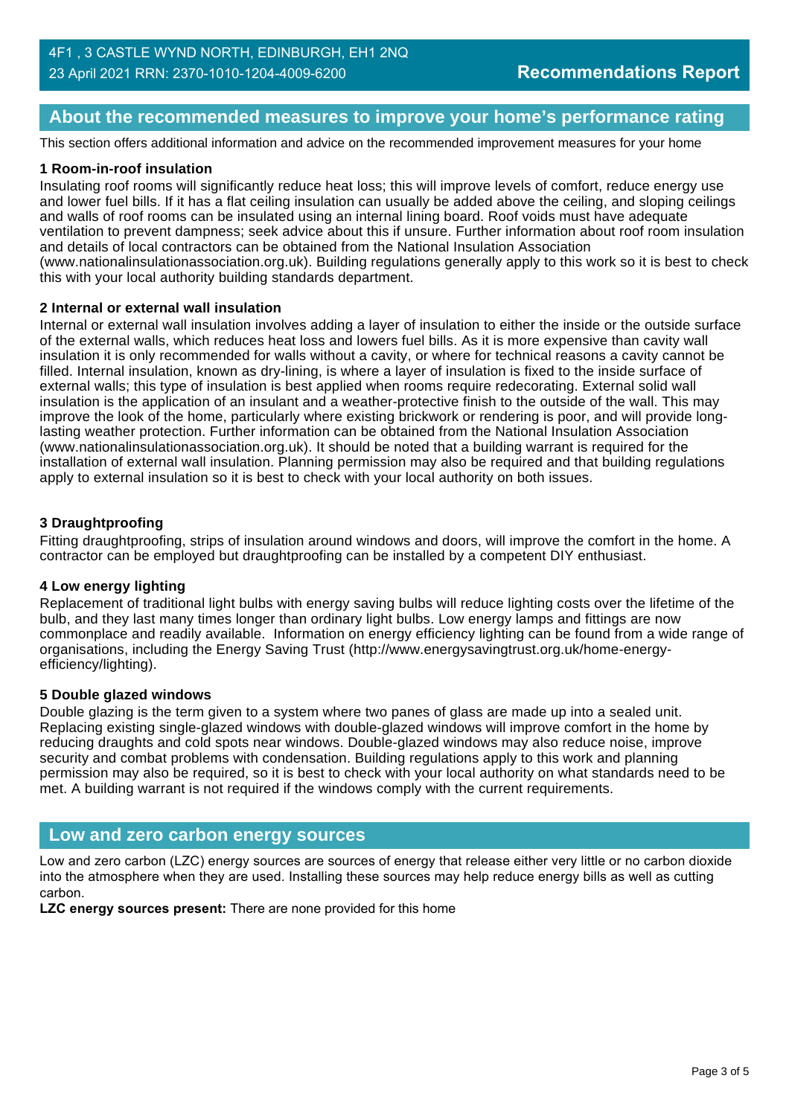## **About the recommended measures to improve your home's performance rating**

This section offers additional information and advice on the recommended improvement measures for your home

#### **1 Room-in-roof insulation**

Insulating roof rooms will significantly reduce heat loss; this will improve levels of comfort, reduce energy use and lower fuel bills. If it has a flat ceiling insulation can usually be added above the ceiling, and sloping ceilings and walls of roof rooms can be insulated using an internal lining board. Roof voids must have adequate ventilation to prevent dampness; seek advice about this if unsure. Further information about roof room insulation and details of local contractors can be obtained from the National Insulation Association (www.nationalinsulationassociation.org.uk). Building regulations generally apply to this work so it is best to check this with your local authority building standards department.

#### **2 Internal or external wall insulation**

Internal or external wall insulation involves adding a layer of insulation to either the inside or the outside surface of the external walls, which reduces heat loss and lowers fuel bills. As it is more expensive than cavity wall insulation it is only recommended for walls without a cavity, or where for technical reasons a cavity cannot be filled. Internal insulation, known as dry-lining, is where a layer of insulation is fixed to the inside surface of external walls; this type of insulation is best applied when rooms require redecorating. External solid wall insulation is the application of an insulant and a weather-protective finish to the outside of the wall. This may improve the look of the home, particularly where existing brickwork or rendering is poor, and will provide longlasting weather protection. Further information can be obtained from the National Insulation Association (www.nationalinsulationassociation.org.uk). It should be noted that a building warrant is required for the installation of external wall insulation. Planning permission may also be required and that building regulations apply to external insulation so it is best to check with your local authority on both issues.

#### **3 Draughtproofing**

Fitting draughtproofing, strips of insulation around windows and doors, will improve the comfort in the home. A contractor can be employed but draughtproofing can be installed by a competent DIY enthusiast.

#### **4 Low energy lighting**

Replacement of traditional light bulbs with energy saving bulbs will reduce lighting costs over the lifetime of the bulb, and they last many times longer than ordinary light bulbs. Low energy lamps and fittings are now commonplace and readily available. Information on energy efficiency lighting can be found from a wide range of organisations, including the Energy Saving Trust (http://www.energysavingtrust.org.uk/home-energyefficiency/lighting).

#### **5 Double glazed windows**

Double glazing is the term given to a system where two panes of glass are made up into a sealed unit. Replacing existing single-glazed windows with double-glazed windows will improve comfort in the home by reducing draughts and cold spots near windows. Double-glazed windows may also reduce noise, improve security and combat problems with condensation. Building regulations apply to this work and planning permission may also be required, so it is best to check with your local authority on what standards need to be met. A building warrant is not required if the windows comply with the current requirements.

#### **Low and zero carbon energy sources**

Low and zero carbon (LZC) energy sources are sources of energy that release either very little or no carbon dioxide into the atmosphere when they are used. Installing these sources may help reduce energy bills as well as cutting carbon.

**LZC energy sources present:** There are none provided for this home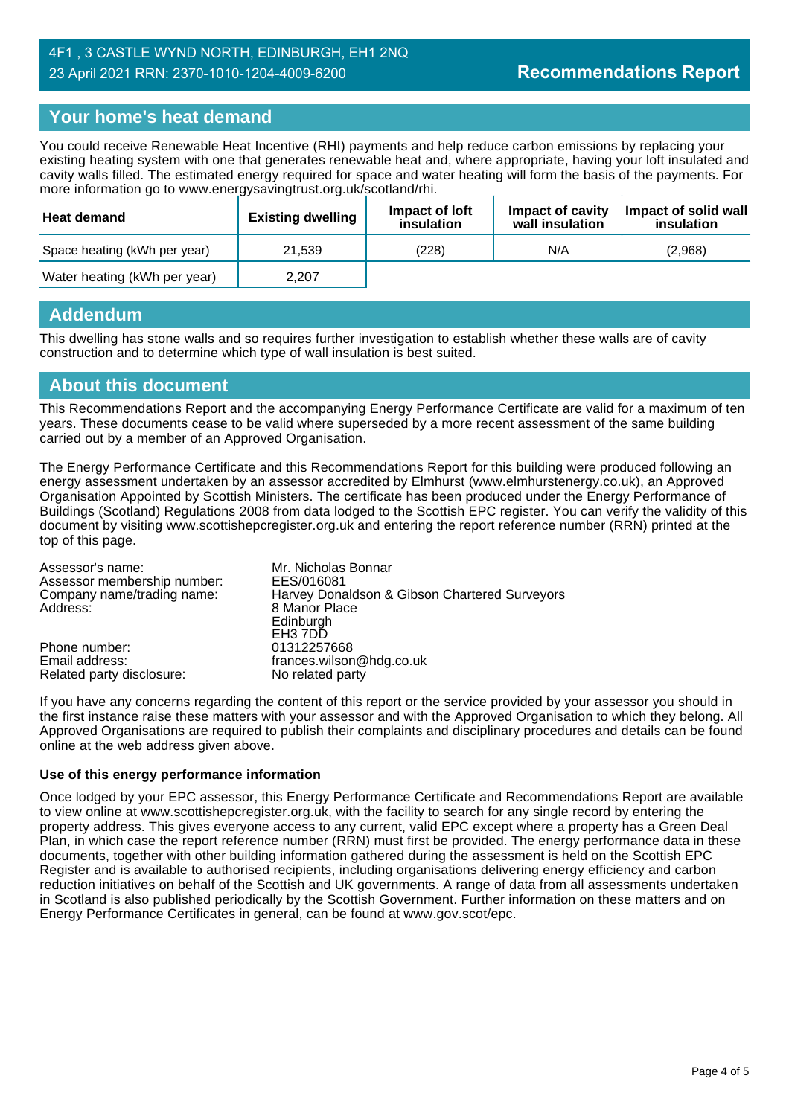## **Your home's heat demand**

You could receive Renewable Heat Incentive (RHI) payments and help reduce carbon emissions by replacing your existing heating system with one that generates renewable heat and, where appropriate, having your loft insulated and cavity walls filled. The estimated energy required for space and water heating will form the basis of the payments. For more information go to www.energysavingtrust.org.uk/scotland/rhi.

| <b>Heat demand</b>           | <b>Existing dwelling</b> | Impact of Joft<br>insulation | Impact of cavity<br>wall insulation | Impact of solid wall<br>insulation |
|------------------------------|--------------------------|------------------------------|-------------------------------------|------------------------------------|
| Space heating (kWh per year) | 21.539                   | (228)                        | N/A                                 | (2,968)                            |
| Water heating (kWh per year) | 2.207                    |                              |                                     |                                    |

## **Addendum**

This dwelling has stone walls and so requires further investigation to establish whether these walls are of cavity construction and to determine which type of wall insulation is best suited.

### **About this document**

This Recommendations Report and the accompanying Energy Performance Certificate are valid for a maximum of ten years. These documents cease to be valid where superseded by a more recent assessment of the same building carried out by a member of an Approved Organisation.

The Energy Performance Certificate and this Recommendations Report for this building were produced following an energy assessment undertaken by an assessor accredited by Elmhurst (www.elmhurstenergy.co.uk), an Approved Organisation Appointed by Scottish Ministers. The certificate has been produced under the Energy Performance of Buildings (Scotland) Regulations 2008 from data lodged to the Scottish EPC register. You can verify the validity of this document by visiting www.scottishepcregister.org.uk and entering the report reference number (RRN) printed at the top of this page.

| Assessor's name:<br>Assessor membership number: | Mr. Nicholas Bonnar<br>EES/016081             |
|-------------------------------------------------|-----------------------------------------------|
| Company name/trading name:                      | Harvey Donaldson & Gibson Chartered Surveyors |
| Address:                                        | 8 Manor Place                                 |
|                                                 | Edinburgh                                     |
|                                                 | EH <sub>3</sub> 7DD                           |
| Phone number:                                   | 01312257668                                   |
| Email address:                                  | frances.wilson@hdg.co.uk                      |
| Related party disclosure:                       | No related party                              |

If you have any concerns regarding the content of this report or the service provided by your assessor you should in the first instance raise these matters with your assessor and with the Approved Organisation to which they belong. All Approved Organisations are required to publish their complaints and disciplinary procedures and details can be found online at the web address given above.

#### **Use of this energy performance information**

Once lodged by your EPC assessor, this Energy Performance Certificate and Recommendations Report are available to view online at www.scottishepcregister.org.uk, with the facility to search for any single record by entering the property address. This gives everyone access to any current, valid EPC except where a property has a Green Deal Plan, in which case the report reference number (RRN) must first be provided. The energy performance data in these documents, together with other building information gathered during the assessment is held on the Scottish EPC Register and is available to authorised recipients, including organisations delivering energy efficiency and carbon reduction initiatives on behalf of the Scottish and UK governments. A range of data from all assessments undertaken in Scotland is also published periodically by the Scottish Government. Further information on these matters and on Energy Performance Certificates in general, can be found at www.gov.scot/epc.